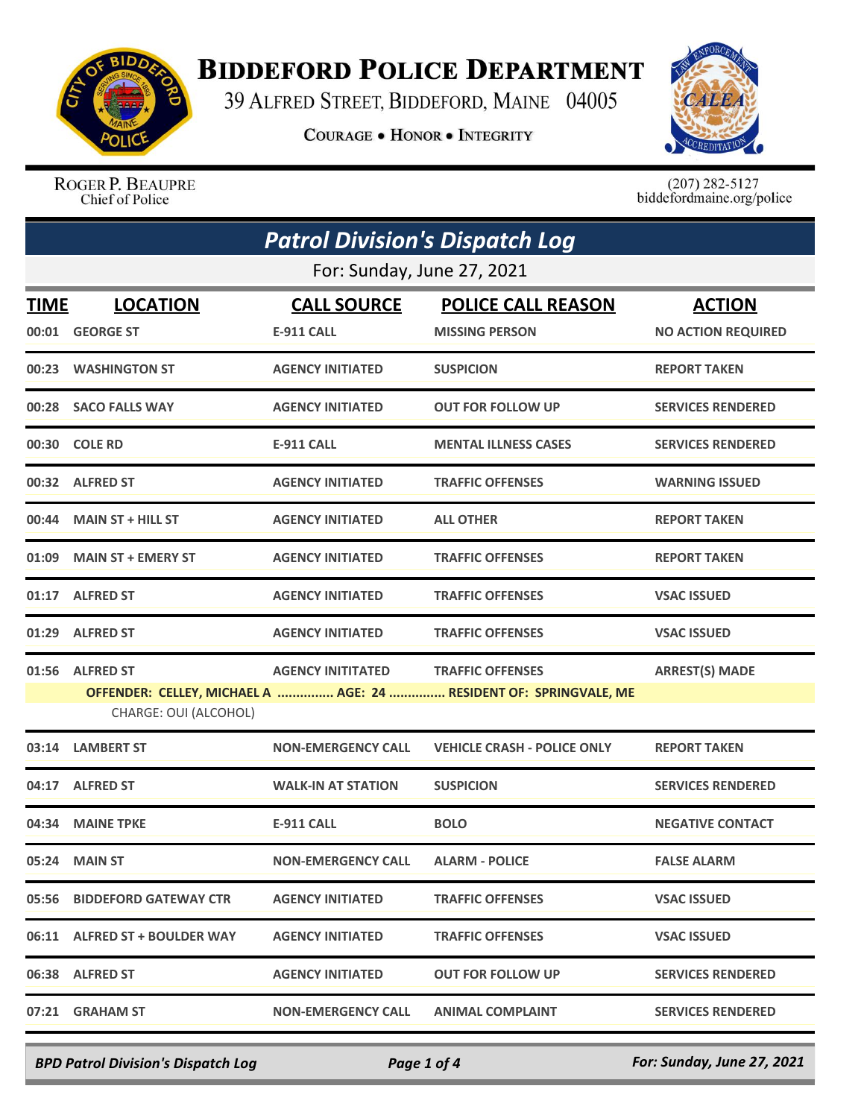

## **BIDDEFORD POLICE DEPARTMENT**

39 ALFRED STREET, BIDDEFORD, MAINE 04005

**COURAGE . HONOR . INTEGRITY** 



ROGER P. BEAUPRE Chief of Police

 $(207)$  282-5127<br>biddefordmaine.org/police

| <b>Patrol Division's Dispatch Log</b> |                               |                           |                                                                   |                           |  |
|---------------------------------------|-------------------------------|---------------------------|-------------------------------------------------------------------|---------------------------|--|
| For: Sunday, June 27, 2021            |                               |                           |                                                                   |                           |  |
| TIME                                  | <b>LOCATION</b>               | <b>CALL SOURCE</b>        | <b>POLICE CALL REASON</b>                                         | <b>ACTION</b>             |  |
| 00:01                                 | <b>GEORGE ST</b>              | <b>E-911 CALL</b>         | <b>MISSING PERSON</b>                                             | <b>NO ACTION REQUIRED</b> |  |
|                                       | 00:23 WASHINGTON ST           | <b>AGENCY INITIATED</b>   | <b>SUSPICION</b>                                                  | <b>REPORT TAKEN</b>       |  |
| 00:28                                 | <b>SACO FALLS WAY</b>         | <b>AGENCY INITIATED</b>   | <b>OUT FOR FOLLOW UP</b>                                          | <b>SERVICES RENDERED</b>  |  |
|                                       | 00:30 COLE RD                 | <b>E-911 CALL</b>         | <b>MENTAL ILLNESS CASES</b>                                       | <b>SERVICES RENDERED</b>  |  |
|                                       | 00:32 ALFRED ST               | <b>AGENCY INITIATED</b>   | <b>TRAFFIC OFFENSES</b>                                           | <b>WARNING ISSUED</b>     |  |
| 00:44                                 | <b>MAIN ST + HILL ST</b>      | <b>AGENCY INITIATED</b>   | <b>ALL OTHER</b>                                                  | <b>REPORT TAKEN</b>       |  |
| 01:09                                 | <b>MAIN ST + EMERY ST</b>     | <b>AGENCY INITIATED</b>   | <b>TRAFFIC OFFENSES</b>                                           | <b>REPORT TAKEN</b>       |  |
| 01:17                                 | <b>ALFRED ST</b>              | <b>AGENCY INITIATED</b>   | <b>TRAFFIC OFFENSES</b>                                           | <b>VSAC ISSUED</b>        |  |
| 01:29                                 | <b>ALFRED ST</b>              | <b>AGENCY INITIATED</b>   | <b>TRAFFIC OFFENSES</b>                                           | <b>VSAC ISSUED</b>        |  |
| 01:56                                 | <b>ALFRED ST</b>              | <b>AGENCY INITITATED</b>  | <b>TRAFFIC OFFENSES</b>                                           | <b>ARREST(S) MADE</b>     |  |
|                                       | CHARGE: OUI (ALCOHOL)         |                           | OFFENDER: CELLEY, MICHAEL A  AGE: 24  RESIDENT OF: SPRINGVALE, ME |                           |  |
| 03:14                                 | <b>LAMBERT ST</b>             | <b>NON-EMERGENCY CALL</b> | <b>VEHICLE CRASH - POLICE ONLY</b>                                | <b>REPORT TAKEN</b>       |  |
| 04:17                                 | <b>ALFRED ST</b>              | <b>WALK-IN AT STATION</b> | <b>SUSPICION</b>                                                  | <b>SERVICES RENDERED</b>  |  |
| 04:34                                 | <b>MAINE TPKE</b>             | <b>E-911 CALL</b>         | <b>BOLO</b>                                                       | <b>NEGATIVE CONTACT</b>   |  |
|                                       | 05:24 MAIN ST                 | <b>NON-EMERGENCY CALL</b> | <b>ALARM - POLICE</b>                                             | <b>FALSE ALARM</b>        |  |
|                                       | 05:56 BIDDEFORD GATEWAY CTR   | <b>AGENCY INITIATED</b>   | <b>TRAFFIC OFFENSES</b>                                           | <b>VSAC ISSUED</b>        |  |
|                                       | 06:11 ALFRED ST + BOULDER WAY | <b>AGENCY INITIATED</b>   | <b>TRAFFIC OFFENSES</b>                                           | <b>VSAC ISSUED</b>        |  |
|                                       | 06:38 ALFRED ST               | <b>AGENCY INITIATED</b>   | <b>OUT FOR FOLLOW UP</b>                                          | <b>SERVICES RENDERED</b>  |  |
|                                       | 07:21 GRAHAM ST               | <b>NON-EMERGENCY CALL</b> | <b>ANIMAL COMPLAINT</b>                                           | <b>SERVICES RENDERED</b>  |  |

*BPD Patrol Division's Dispatch Log Page 1 of 4 For: Sunday, June 27, 2021*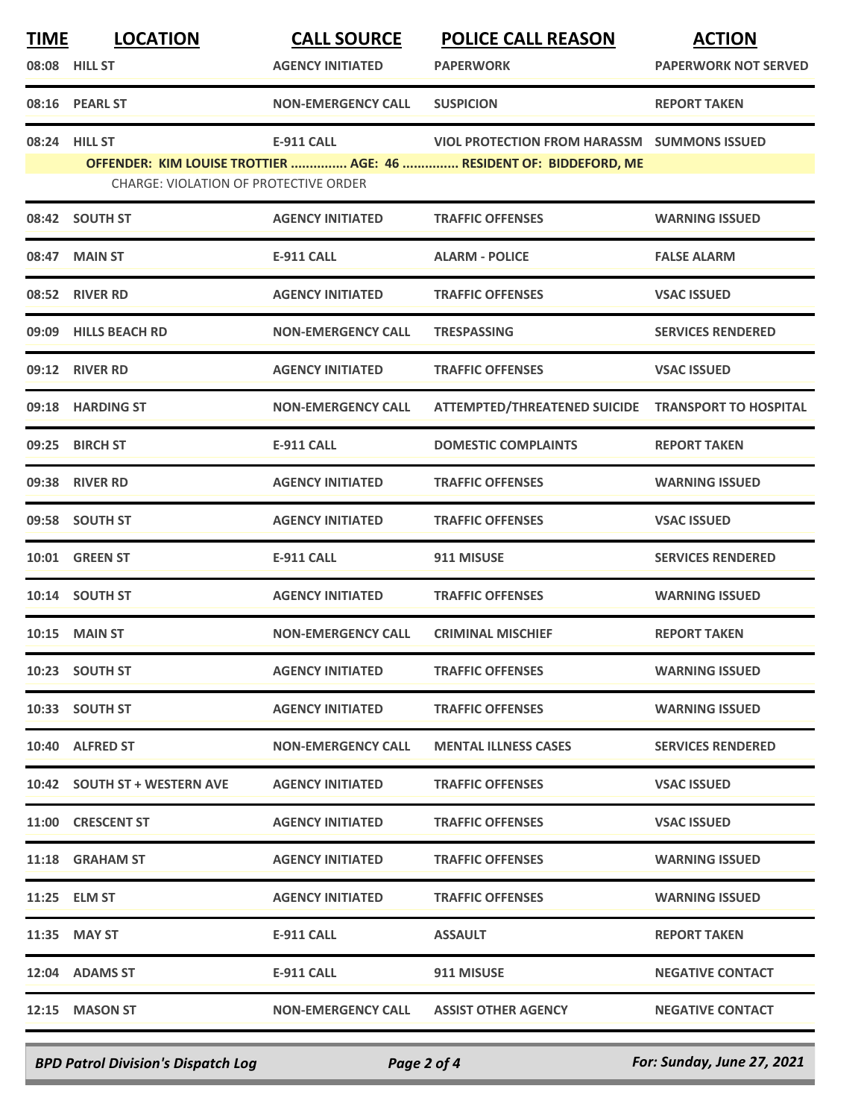| <b>TIME</b> | <b>LOCATION</b>                       | <b>CALL SOURCE</b>        | <b>POLICE CALL REASON</b>                                                                                         | <b>ACTION</b>               |
|-------------|---------------------------------------|---------------------------|-------------------------------------------------------------------------------------------------------------------|-----------------------------|
|             | 08:08 HILL ST                         | <b>AGENCY INITIATED</b>   | <b>PAPERWORK</b>                                                                                                  | <b>PAPERWORK NOT SERVED</b> |
|             | 08:16 PEARL ST                        | <b>NON-EMERGENCY CALL</b> | <b>SUSPICION</b>                                                                                                  | <b>REPORT TAKEN</b>         |
|             | 08:24 HILL ST                         | <b>E-911 CALL</b>         | VIOL PROTECTION FROM HARASSM SUMMONS ISSUED<br>OFFENDER: KIM LOUISE TROTTIER  AGE: 46  RESIDENT OF: BIDDEFORD, ME |                             |
|             | CHARGE: VIOLATION OF PROTECTIVE ORDER |                           |                                                                                                                   |                             |
|             | 08:42 SOUTH ST                        | <b>AGENCY INITIATED</b>   | <b>TRAFFIC OFFENSES</b>                                                                                           | <b>WARNING ISSUED</b>       |
|             | 08:47 MAIN ST                         | <b>E-911 CALL</b>         | <b>ALARM - POLICE</b>                                                                                             | <b>FALSE ALARM</b>          |
|             | 08:52 RIVER RD                        | <b>AGENCY INITIATED</b>   | <b>TRAFFIC OFFENSES</b>                                                                                           | <b>VSAC ISSUED</b>          |
|             | 09:09 HILLS BEACH RD                  | <b>NON-EMERGENCY CALL</b> | <b>TRESPASSING</b>                                                                                                | <b>SERVICES RENDERED</b>    |
|             | 09:12 RIVER RD                        | <b>AGENCY INITIATED</b>   | <b>TRAFFIC OFFENSES</b>                                                                                           | <b>VSAC ISSUED</b>          |
|             | 09:18 HARDING ST                      | <b>NON-EMERGENCY CALL</b> | ATTEMPTED/THREATENED SUICIDE TRANSPORT TO HOSPITAL                                                                |                             |
| 09:25       | <b>BIRCH ST</b>                       | <b>E-911 CALL</b>         | <b>DOMESTIC COMPLAINTS</b>                                                                                        | <b>REPORT TAKEN</b>         |
|             | 09:38 RIVER RD                        | <b>AGENCY INITIATED</b>   | <b>TRAFFIC OFFENSES</b>                                                                                           | <b>WARNING ISSUED</b>       |
| 09:58       | <b>SOUTH ST</b>                       | <b>AGENCY INITIATED</b>   | <b>TRAFFIC OFFENSES</b>                                                                                           | <b>VSAC ISSUED</b>          |
|             | 10:01 GREEN ST                        | <b>E-911 CALL</b>         | 911 MISUSE                                                                                                        | <b>SERVICES RENDERED</b>    |
|             | 10:14 SOUTH ST                        | <b>AGENCY INITIATED</b>   | <b>TRAFFIC OFFENSES</b>                                                                                           | <b>WARNING ISSUED</b>       |
|             | <b>10:15 MAIN ST</b>                  | <b>NON-EMERGENCY CALL</b> | <b>CRIMINAL MISCHIEF</b>                                                                                          | <b>REPORT TAKEN</b>         |
|             | 10:23 SOUTH ST                        | <b>AGENCY INITIATED</b>   | <b>TRAFFIC OFFENSES</b>                                                                                           | <b>WARNING ISSUED</b>       |
|             | 10:33 SOUTH ST                        | <b>AGENCY INITIATED</b>   | <b>TRAFFIC OFFENSES</b>                                                                                           | <b>WARNING ISSUED</b>       |
|             | 10:40 ALFRED ST                       | <b>NON-EMERGENCY CALL</b> | <b>MENTAL ILLNESS CASES</b>                                                                                       | <b>SERVICES RENDERED</b>    |
|             | 10:42 SOUTH ST + WESTERN AVE          | <b>AGENCY INITIATED</b>   | <b>TRAFFIC OFFENSES</b>                                                                                           | <b>VSAC ISSUED</b>          |
|             | 11:00 CRESCENT ST                     | <b>AGENCY INITIATED</b>   | <b>TRAFFIC OFFENSES</b>                                                                                           | <b>VSAC ISSUED</b>          |
|             | 11:18 GRAHAM ST                       | <b>AGENCY INITIATED</b>   | <b>TRAFFIC OFFENSES</b>                                                                                           | <b>WARNING ISSUED</b>       |
|             | 11:25 ELM ST                          | <b>AGENCY INITIATED</b>   | <b>TRAFFIC OFFENSES</b>                                                                                           | <b>WARNING ISSUED</b>       |
|             | 11:35 MAY ST                          | <b>E-911 CALL</b>         | <b>ASSAULT</b>                                                                                                    | <b>REPORT TAKEN</b>         |
|             | 12:04 ADAMS ST                        | E-911 CALL                | 911 MISUSE                                                                                                        | <b>NEGATIVE CONTACT</b>     |
|             | 12:15 MASON ST                        | <b>NON-EMERGENCY CALL</b> | <b>ASSIST OTHER AGENCY</b>                                                                                        | <b>NEGATIVE CONTACT</b>     |
|             |                                       |                           |                                                                                                                   |                             |

*BPD Patrol Division's Dispatch Log Page 2 of 4 For: Sunday, June 27, 2021*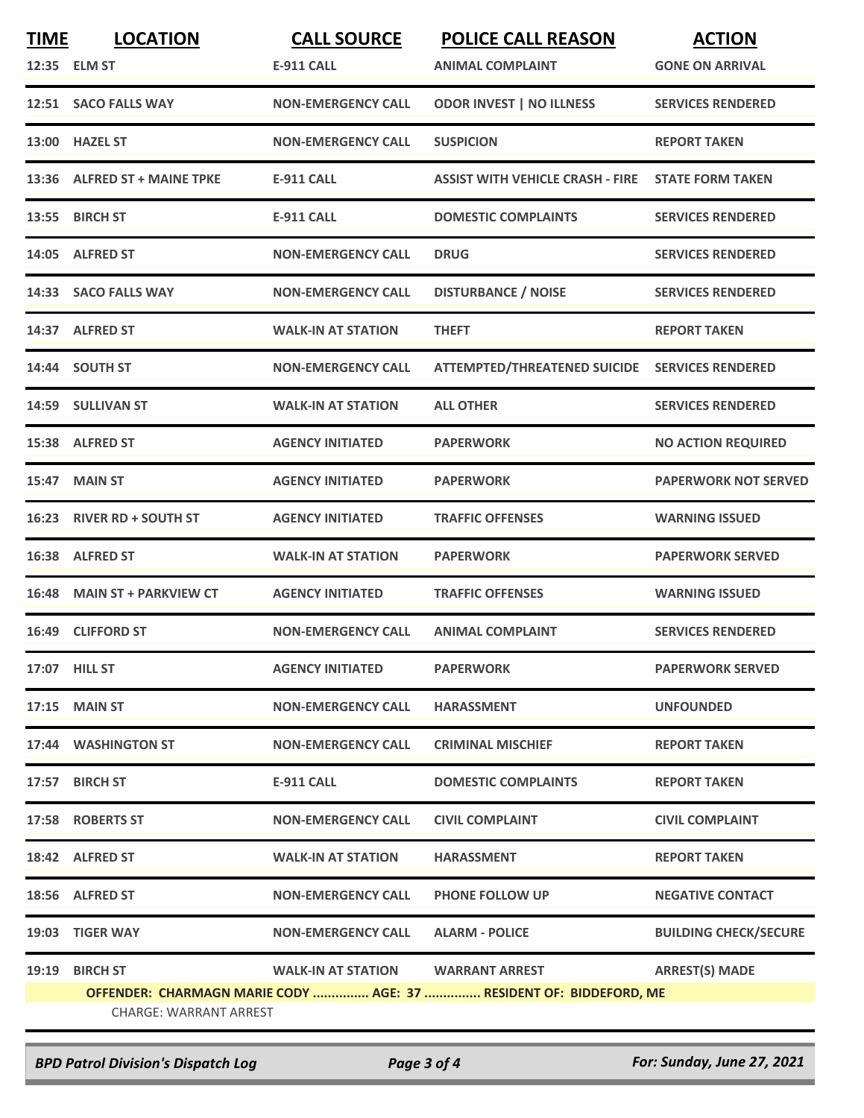| <b>TIME</b> | <b>LOCATION</b><br>12:35 ELM ST | <b>CALL SOURCE</b><br><b>E-911 CALL</b> | <b>POLICE CALL REASON</b><br><b>ANIMAL COMPLAINT</b>               | <b>ACTION</b><br><b>GONE ON ARRIVAL</b> |
|-------------|---------------------------------|-----------------------------------------|--------------------------------------------------------------------|-----------------------------------------|
|             | 12:51 SACO FALLS WAY            | <b>NON-EMERGENCY CALL</b>               | <b>ODOR INVEST   NO ILLNESS</b>                                    | <b>SERVICES RENDERED</b>                |
| 13:00       | <b>HAZEL ST</b>                 | <b>NON-EMERGENCY CALL</b>               | <b>SUSPICION</b>                                                   | <b>REPORT TAKEN</b>                     |
| 13:36       | <b>ALFRED ST + MAINE TPKE</b>   | <b>E-911 CALL</b>                       | <b>ASSIST WITH VEHICLE CRASH - FIRE</b>                            | <b>STATE FORM TAKEN</b>                 |
| 13:55       | <b>BIRCH ST</b>                 | <b>E-911 CALL</b>                       | <b>DOMESTIC COMPLAINTS</b>                                         | <b>SERVICES RENDERED</b>                |
|             | 14:05 ALFRED ST                 | <b>NON-EMERGENCY CALL</b>               | <b>DRUG</b>                                                        | <b>SERVICES RENDERED</b>                |
| 14:33       | <b>SACO FALLS WAY</b>           | <b>NON-EMERGENCY CALL</b>               | <b>DISTURBANCE / NOISE</b>                                         | <b>SERVICES RENDERED</b>                |
| 14:37       | <b>ALFRED ST</b>                | <b>WALK-IN AT STATION</b>               | <b>THEFT</b>                                                       | <b>REPORT TAKEN</b>                     |
|             | 14:44 SOUTH ST                  | <b>NON-EMERGENCY CALL</b>               | ATTEMPTED/THREATENED SUICIDE SERVICES RENDERED                     |                                         |
|             | 14:59 SULLIVAN ST               | <b>WALK-IN AT STATION</b>               | <b>ALL OTHER</b>                                                   | <b>SERVICES RENDERED</b>                |
| 15:38       | <b>ALFRED ST</b>                | <b>AGENCY INITIATED</b>                 | <b>PAPERWORK</b>                                                   | <b>NO ACTION REQUIRED</b>               |
| 15:47       | <b>MAIN ST</b>                  | <b>AGENCY INITIATED</b>                 | <b>PAPERWORK</b>                                                   | <b>PAPERWORK NOT SERVED</b>             |
| 16:23       | <b>RIVER RD + SOUTH ST</b>      | <b>AGENCY INITIATED</b>                 | <b>TRAFFIC OFFENSES</b>                                            | <b>WARNING ISSUED</b>                   |
|             | 16:38 ALFRED ST                 | <b>WALK-IN AT STATION</b>               | <b>PAPERWORK</b>                                                   | <b>PAPERWORK SERVED</b>                 |
| 16:48       | <b>MAIN ST + PARKVIEW CT</b>    | <b>AGENCY INITIATED</b>                 | <b>TRAFFIC OFFENSES</b>                                            | <b>WARNING ISSUED</b>                   |
| 16:49       | <b>CLIFFORD ST</b>              | <b>NON-EMERGENCY CALL</b>               | <b>ANIMAL COMPLAINT</b>                                            | <b>SERVICES RENDERED</b>                |
|             | 17:07 HILL ST                   | <b>AGENCY INITIATED</b>                 | <b>PAPERWORK</b>                                                   | <b>PAPERWORK SERVED</b>                 |
|             | 17:15 MAIN ST                   | <b>NON-EMERGENCY CALL</b>               | <b>HARASSMENT</b>                                                  | <b>UNFOUNDED</b>                        |
|             | 17:44 WASHINGTON ST             | <b>NON-EMERGENCY CALL</b>               | <b>CRIMINAL MISCHIEF</b>                                           | <b>REPORT TAKEN</b>                     |
|             | 17:57 BIRCH ST                  | <b>E-911 CALL</b>                       | <b>DOMESTIC COMPLAINTS</b>                                         | <b>REPORT TAKEN</b>                     |
|             | 17:58 ROBERTS ST                | <b>NON-EMERGENCY CALL</b>               | <b>CIVIL COMPLAINT</b>                                             | <b>CIVIL COMPLAINT</b>                  |
|             | 18:42 ALFRED ST                 | <b>WALK-IN AT STATION</b>               | <b>HARASSMENT</b>                                                  | <b>REPORT TAKEN</b>                     |
|             | 18:56 ALFRED ST                 | <b>NON-EMERGENCY CALL</b>               | <b>PHONE FOLLOW UP</b>                                             | <b>NEGATIVE CONTACT</b>                 |
|             | 19:03 TIGER WAY                 | <b>NON-EMERGENCY CALL</b>               | <b>ALARM - POLICE</b>                                              | <b>BUILDING CHECK/SECURE</b>            |
| 19:19       | <b>BIRCH ST</b>                 | WALK-IN AT STATION                      | <b>WARRANT ARREST</b>                                              | <b>ARREST(S) MADE</b>                   |
|             | <b>CHARGE: WARRANT ARREST</b>   |                                         | OFFENDER: CHARMAGN MARIE CODY  AGE: 37  RESIDENT OF: BIDDEFORD, ME |                                         |

*BPD Patrol Division's Dispatch Log Page 3 of 4 For: Sunday, June 27, 2021*